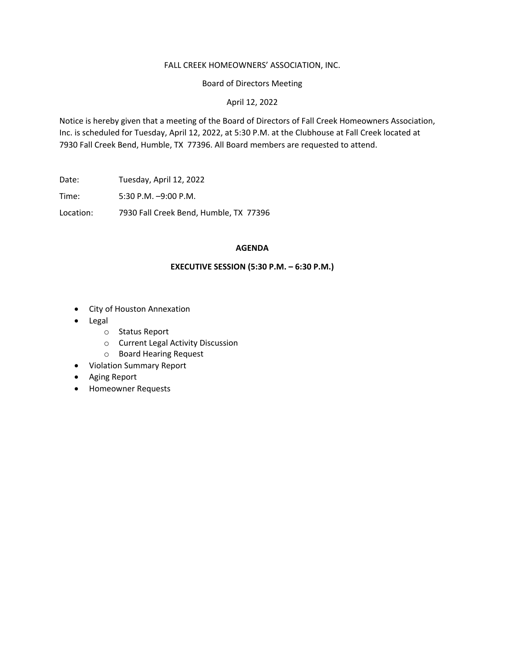### FALL CREEK HOMEOWNERS' ASSOCIATION, INC.

Board of Directors Meeting

April 12, 2022

Notice is hereby given that a meeting of the Board of Directors of Fall Creek Homeowners Association, Inc. is scheduled for Tuesday, April 12, 2022, at 5:30 P.M. at the Clubhouse at Fall Creek located at 7930 Fall Creek Bend, Humble, TX 77396. All Board members are requested to attend.

Date: Tuesday, April 12, 2022

Time: 5:30 P.M. –9:00 P.M.

Location: 7930 Fall Creek Bend, Humble, TX 77396

# **AGENDA**

## **EXECUTIVE SESSION (5:30 P.M. – 6:30 P.M.)**

- City of Houston Annexation
- **Legal** 
	- o Status Report
	- o Current Legal Activity Discussion
	- o Board Hearing Request
- Violation Summary Report
- Aging Report
- Homeowner Requests